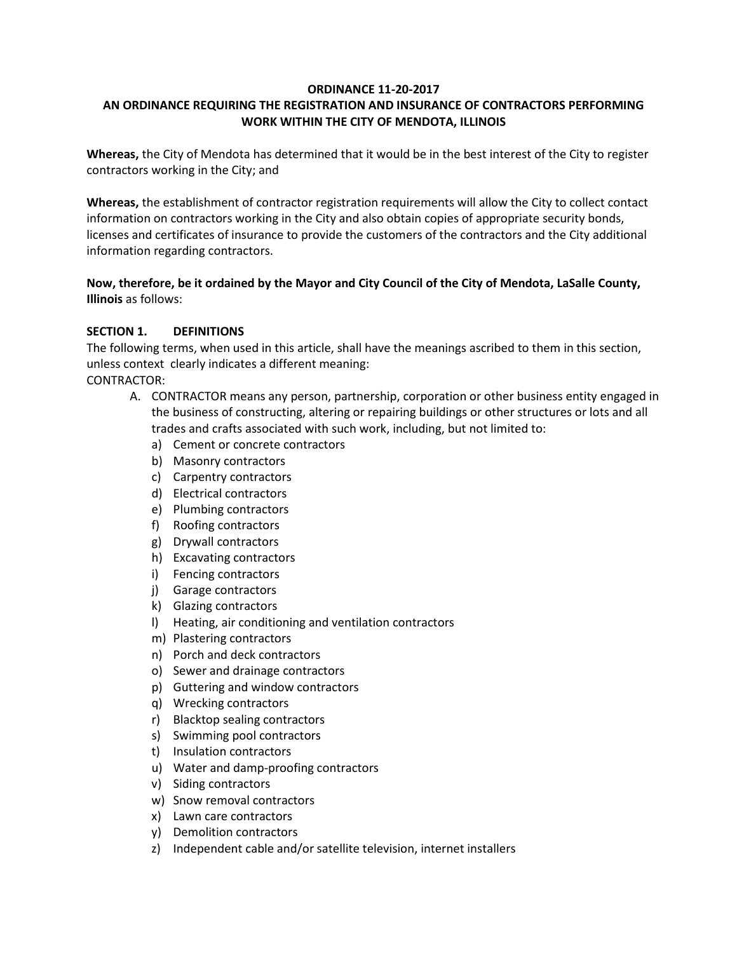#### **ORDINANCE 11-20-2017**

## **AN ORDINANCE REQUIRING THE REGISTRATION AND INSURANCE OF CONTRACTORS PERFORMING WORK WITHIN THE CITY OF MENDOTA, ILLINOIS**

**Whereas,** the City of Mendota has determined that it would be in the best interest of the City to register contractors working in the City; and

**Whereas,** the establishment of contractor registration requirements will allow the City to collect contact information on contractors working in the City and also obtain copies of appropriate security bonds, licenses and certificates of insurance to provide the customers of the contractors and the City additional information regarding contractors.

**Now, therefore, be it ordained by the Mayor and City Council of the City of Mendota, LaSalle County, Illinois** as follows:

#### **SECTION 1. DEFINITIONS**

The following terms, when used in this article, shall have the meanings ascribed to them in this section, unless context clearly indicates a different meaning:

CONTRACTOR:

- A. CONTRACTOR means any person, partnership, corporation or other business entity engaged in the business of constructing, altering or repairing buildings or other structures or lots and all trades and crafts associated with such work, including, but not limited to:
	- a) Cement or concrete contractors
	- b) Masonry contractors
	- c) Carpentry contractors
	- d) Electrical contractors
	- e) Plumbing contractors
	- f) Roofing contractors
	- g) Drywall contractors
	- h) Excavating contractors
	- i) Fencing contractors
	- j) Garage contractors
	- k) Glazing contractors
	- l) Heating, air conditioning and ventilation contractors
	- m) Plastering contractors
	- n) Porch and deck contractors
	- o) Sewer and drainage contractors
	- p) Guttering and window contractors
	- q) Wrecking contractors
	- r) Blacktop sealing contractors
	- s) Swimming pool contractors
	- t) Insulation contractors
	- u) Water and damp-proofing contractors
	- v) Siding contractors
	- w) Snow removal contractors
	- x) Lawn care contractors
	- y) Demolition contractors
	- z) Independent cable and/or satellite television, internet installers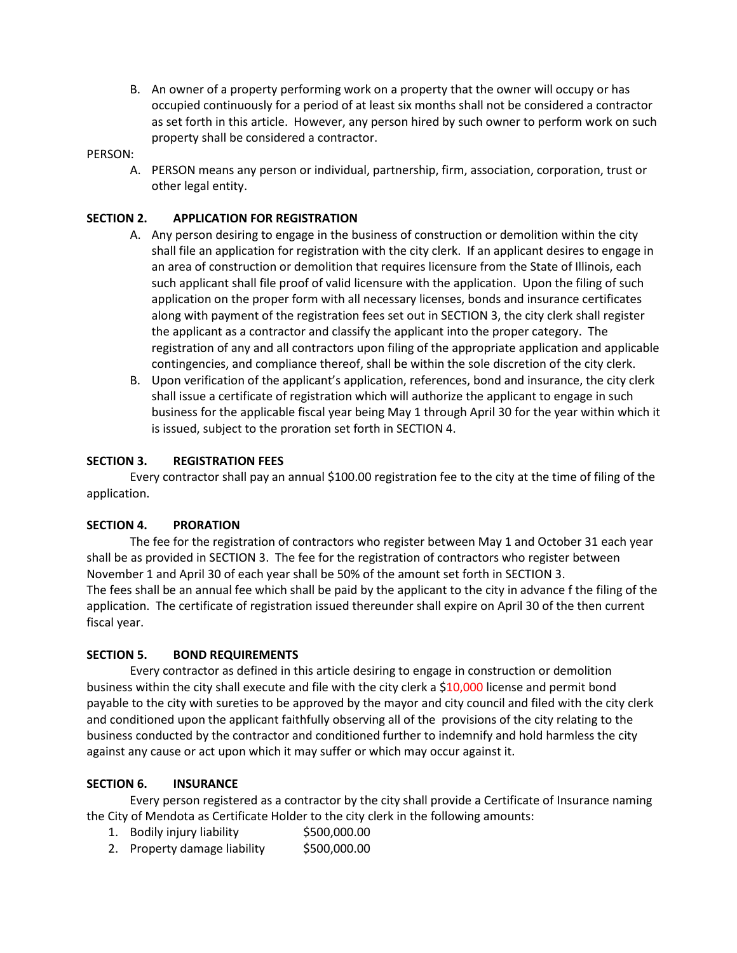B. An owner of a property performing work on a property that the owner will occupy or has occupied continuously for a period of at least six months shall not be considered a contractor as set forth in this article. However, any person hired by such owner to perform work on such property shall be considered a contractor.

#### PERSON:

A. PERSON means any person or individual, partnership, firm, association, corporation, trust or other legal entity.

#### **SECTION 2. APPLICATION FOR REGISTRATION**

- A. Any person desiring to engage in the business of construction or demolition within the city shall file an application for registration with the city clerk. If an applicant desires to engage in an area of construction or demolition that requires licensure from the State of Illinois, each such applicant shall file proof of valid licensure with the application. Upon the filing of such application on the proper form with all necessary licenses, bonds and insurance certificates along with payment of the registration fees set out in SECTION 3, the city clerk shall register the applicant as a contractor and classify the applicant into the proper category. The registration of any and all contractors upon filing of the appropriate application and applicable contingencies, and compliance thereof, shall be within the sole discretion of the city clerk.
- B. Upon verification of the applicant's application, references, bond and insurance, the city clerk shall issue a certificate of registration which will authorize the applicant to engage in such business for the applicable fiscal year being May 1 through April 30 for the year within which it is issued, subject to the proration set forth in SECTION 4.

#### **SECTION 3. REGISTRATION FEES**

Every contractor shall pay an annual \$100.00 registration fee to the city at the time of filing of the application.

#### **SECTION 4. PRORATION**

The fee for the registration of contractors who register between May 1 and October 31 each year shall be as provided in SECTION 3. The fee for the registration of contractors who register between November 1 and April 30 of each year shall be 50% of the amount set forth in SECTION 3. The fees shall be an annual fee which shall be paid by the applicant to the city in advance f the filing of the application. The certificate of registration issued thereunder shall expire on April 30 of the then current fiscal year.

#### **SECTION 5. BOND REQUIREMENTS**

Every contractor as defined in this article desiring to engage in construction or demolition business within the city shall execute and file with the city clerk a \$10,000 license and permit bond payable to the city with sureties to be approved by the mayor and city council and filed with the city clerk and conditioned upon the applicant faithfully observing all of the provisions of the city relating to the business conducted by the contractor and conditioned further to indemnify and hold harmless the city against any cause or act upon which it may suffer or which may occur against it.

#### **SECTION 6. INSURANCE**

Every person registered as a contractor by the city shall provide a Certificate of Insurance naming the City of Mendota as Certificate Holder to the city clerk in the following amounts:

- 1. Bodily injury liability \$500,000.00
- 2. Property damage liability \$500,000.00
-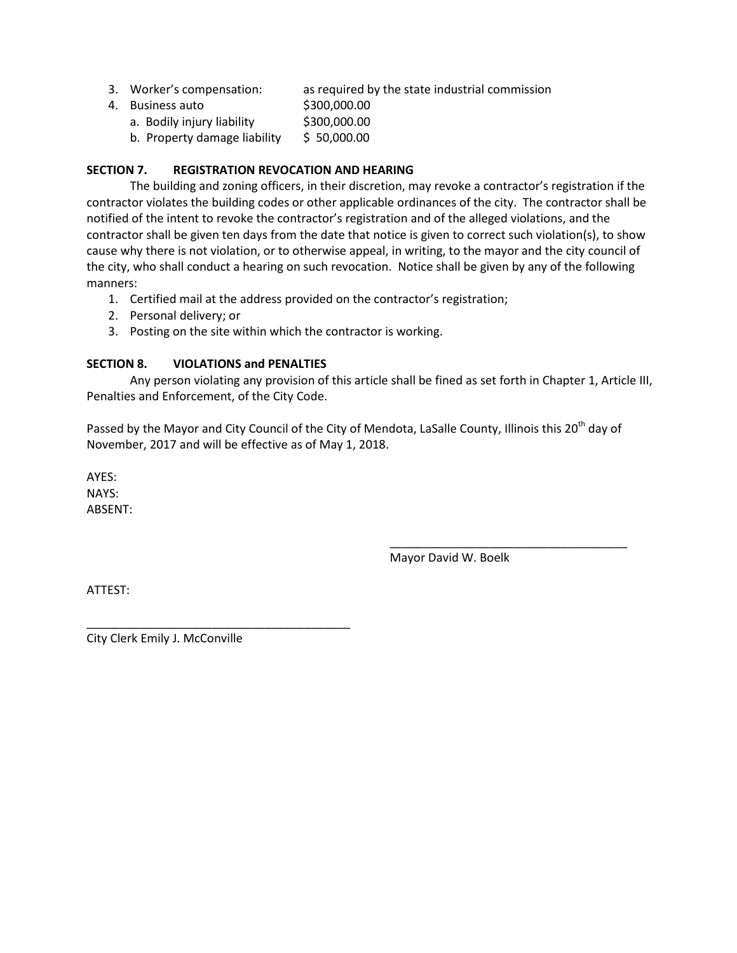- 3. Worker's compensation: as required by the state industrial commission
- 4. Business auto \$300,000.00
	- a. Bodily injury liability \$300,000.00
	- b. Property damage liability  $$50,000.00$

## **SECTION 7. REGISTRATION REVOCATION AND HEARING**

The building and zoning officers, in their discretion, may revoke a contractor's registration if the contractor violates the building codes or other applicable ordinances of the city. The contractor shall be notified of the intent to revoke the contractor's registration and of the alleged violations, and the contractor shall be given ten days from the date that notice is given to correct such violation(s), to show cause why there is not violation, or to otherwise appeal, in writing, to the mayor and the city council of the city, who shall conduct a hearing on such revocation. Notice shall be given by any of the following manners:

- 1. Certified mail at the address provided on the contractor's registration;
- 2. Personal delivery; or
- 3. Posting on the site within which the contractor is working.

## **SECTION 8. VIOLATIONS and PENALTIES**

Any person violating any provision of this article shall be fined as set forth in Chapter 1, Article III, Penalties and Enforcement, of the City Code.

Passed by the Mayor and City Council of the City of Mendota, LaSalle County, Illinois this 20<sup>th</sup> day of November, 2017 and will be effective as of May 1, 2018.

AYES: NAYS: ABSENT:

Mayor David W. Boelk

\_\_\_\_\_\_\_\_\_\_\_\_\_\_\_\_\_\_\_\_\_\_\_\_\_\_\_\_\_\_\_\_\_\_\_\_

ATTEST:

City Clerk Emily J. McConville

\_\_\_\_\_\_\_\_\_\_\_\_\_\_\_\_\_\_\_\_\_\_\_\_\_\_\_\_\_\_\_\_\_\_\_\_\_\_\_\_